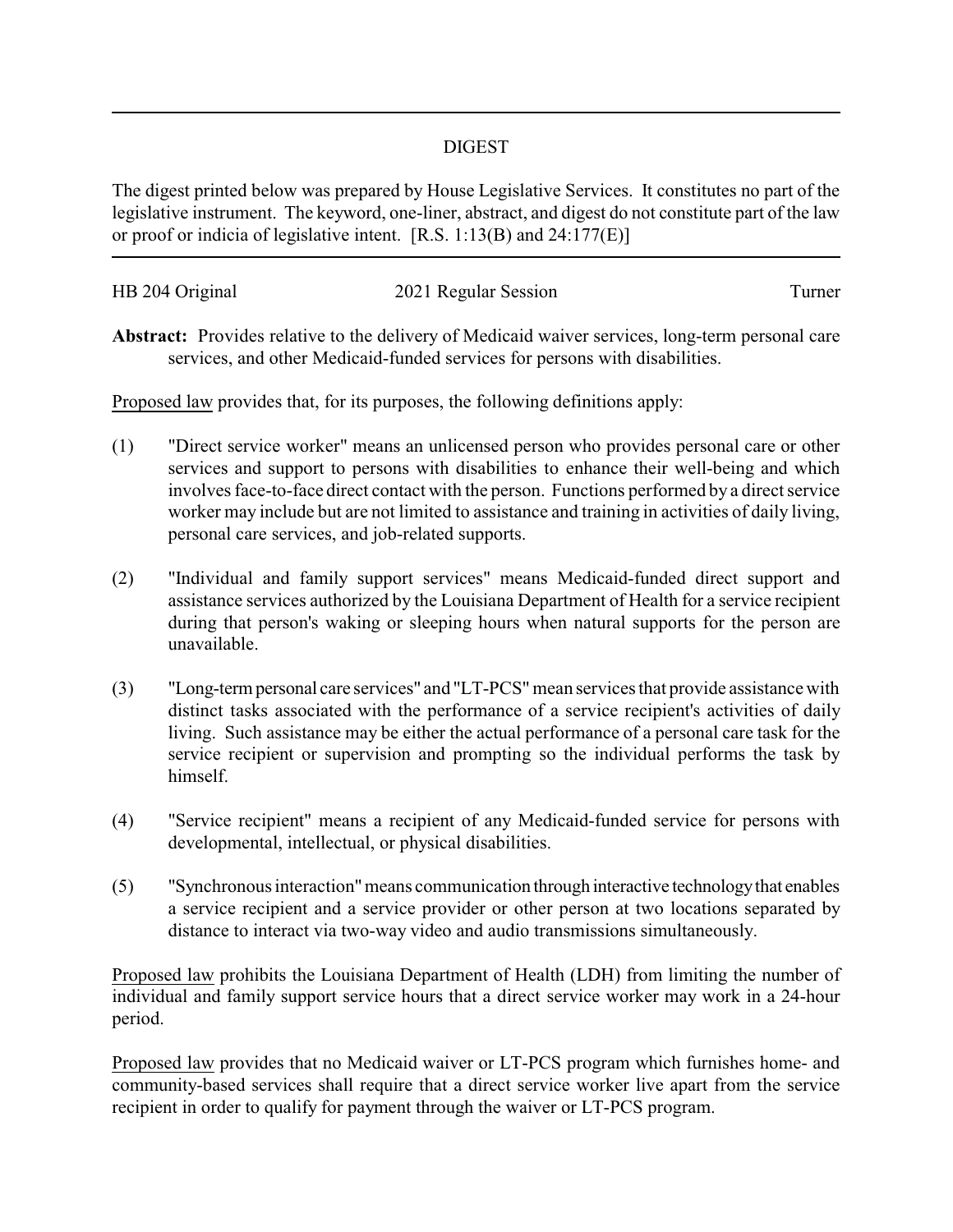## DIGEST

The digest printed below was prepared by House Legislative Services. It constitutes no part of the legislative instrument. The keyword, one-liner, abstract, and digest do not constitute part of the law or proof or indicia of legislative intent. [R.S. 1:13(B) and 24:177(E)]

| HB 204 Original | 2021 Regular Session | l urner |
|-----------------|----------------------|---------|
|                 |                      |         |

**Abstract:** Provides relative to the delivery of Medicaid waiver services, long-term personal care services, and other Medicaid-funded services for persons with disabilities.

Proposed law provides that, for its purposes, the following definitions apply:

- (1) "Direct service worker" means an unlicensed person who provides personal care or other services and support to persons with disabilities to enhance their well-being and which involves face-to-face direct contact with the person. Functions performed by a direct service worker may include but are not limited to assistance and training in activities of daily living, personal care services, and job-related supports.
- (2) "Individual and family support services" means Medicaid-funded direct support and assistance services authorized by the Louisiana Department of Health for a service recipient during that person's waking or sleeping hours when natural supports for the person are unavailable.
- (3) "Long-termpersonal care services" and "LT-PCS"mean services that provide assistance with distinct tasks associated with the performance of a service recipient's activities of daily living. Such assistance may be either the actual performance of a personal care task for the service recipient or supervision and prompting so the individual performs the task by himself.
- (4) "Service recipient" means a recipient of any Medicaid-funded service for persons with developmental, intellectual, or physical disabilities.
- (5) "Synchronous interaction"means communication through interactive technologythat enables a service recipient and a service provider or other person at two locations separated by distance to interact via two-way video and audio transmissions simultaneously.

Proposed law prohibits the Louisiana Department of Health (LDH) from limiting the number of individual and family support service hours that a direct service worker may work in a 24-hour period.

Proposed law provides that no Medicaid waiver or LT-PCS program which furnishes home- and community-based services shall require that a direct service worker live apart from the service recipient in order to qualify for payment through the waiver or LT-PCS program.